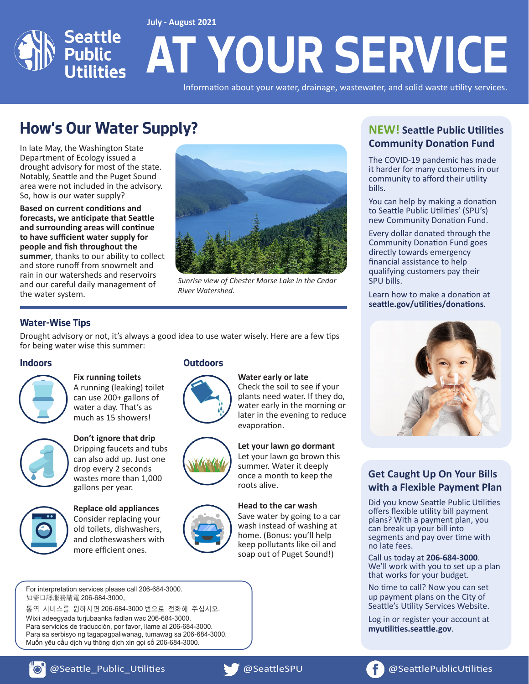

Information about your water, drainage, wastewater, and solid waste utility services.

## **How's Our Water Supply?**

In late May, the Washington State Department of Ecology issued a drought advisory for most of the state. Notably, Seattle and the Puget Sound area were not included in the advisory. So, how is our water supply?

**Based on current conditions and forecasts, we anticipate that Seattle and surrounding areas will continue to have sufficient water supply for people and fish throughout the summer**, thanks to our ability to collect and store runoff from snowmelt and rain in our watersheds and reservoirs and our careful daily management of the water system.



*Sunrise view of Chester Morse Lake in the Cedar River Watershed.*

#### **Water-Wise Tips**

Drought advisory or not, it's always a good idea to use water wisely. Here are a few tips for being water wise this summer:

#### **Indoors**



**Fix running toilets**  A running (leaking) toilet can use 200+ gallons of water a day. That's as

much as 15 showers!



#### **Don't ignore that drip** Dripping faucets and tubs can also add up. Just one drop every 2 seconds wastes more than 1,000



**Replace old appliances** Consider replacing your old toilets, dishwashers, and clotheswashers with more efficient ones.

gallons per year.

#### **Outdoors**





**Let your lawn go dormant** Let your lawn go brown this summer. Water it deeply once a month to keep the roots alive.

Check the soil to see if your plants need water. If they do, water early in the morning or later in the evening to reduce

#### **Head to the car wash**

**Water early or late**

evaporation.

Save water by going to a car wash instead of washing at home. (Bonus: you'll help keep pollutants like oil and soap out of Puget Sound!)

For interpretation services please call 206-684-3000. 如需口譯服務請電 206-684-3000。

통역 서비스를 원하시면 206-684-3000 번으로 전화해 주십시오 Wixii adeegyada turjubaanka fadlan wac 206-684-3000. Para servicios de traducción, por favor, llame al 206-684-3000. Para sa serbisyo ng tagapagpaliwanag, tumawag sa 206-684-3000. Muốn yêu cầu dịch vụ thông dịch xin gọi số 206-684-3000.

### **NEW! Seattle Public Utilities Community Donation Fund**

The COVID-19 pandemic has made it harder for many customers in our community to afford their utility bills.

You can help by making a donation to Seattle Public Utilities' (SPU's) new Community Donation Fund.

Every dollar donated through the Community Donation Fund goes directly towards emergency financial assistance to help qualifying customers pay their SPU bills.

Learn how to make a donation at **seattle.gov/utilities/donations**.



#### **Get Caught Up On Your Bills with a Flexible Payment Plan**

Did you know Seattle Public Utilities offers flexible utility bill payment plans? With a payment plan, you can break up your bill into segments and pay over time with no late fees.

Call us today at **206-684-3000**. We'll work with you to set up a plan that works for your budget.

No time to call? Now you can set up payment plans on the City of Seattle's Utility Services Website.

Log in or register your account at **myutilities.seattle.gov**.